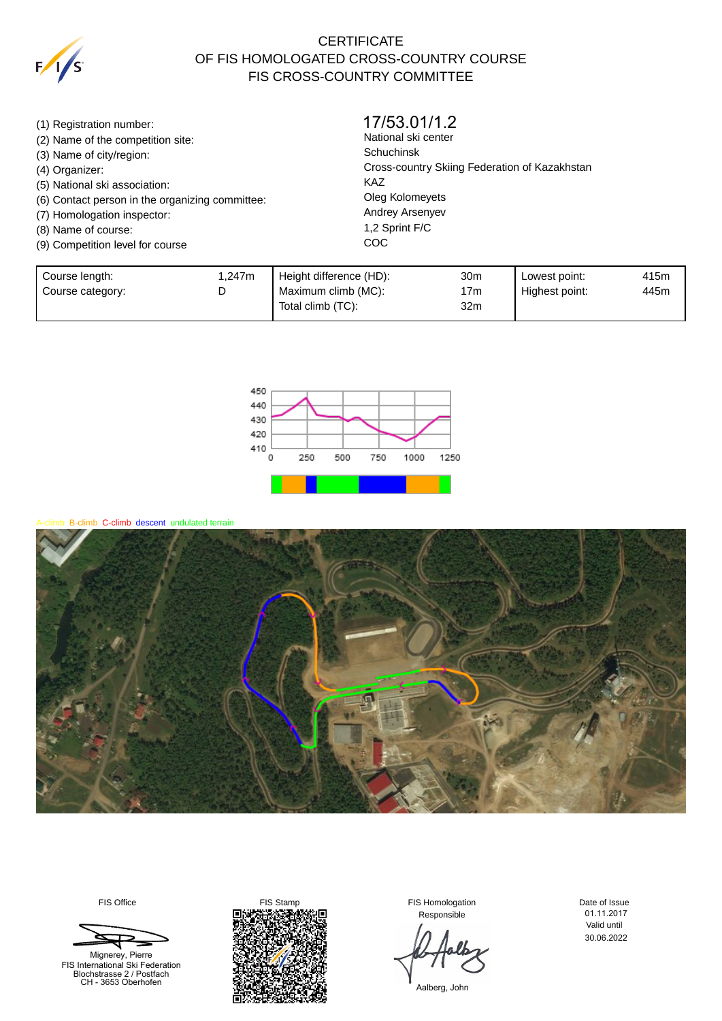

## **CERTIFICATE** OF FIS HOMOLOGATED CROSS-COUNTRY COURSE FIS CROSS-COUNTRY COMMITTEE

(1) Registration number: (2) Name of the competition site: (3) Name of city/region: (4) Organizer: (5) National ski association: (6) Contact person in the organizing committee: (7) Homologation inspector: (8) Name of course: (9) Competition level for course National ski center Schuchinsk Cross-country Skiing Federation of Kazakhstan KAZ Oleg Kolomeyets Andrey Arsenyev 1,2 Sprint F/C **COC** 17/53.01/1.2

| Course length:   | .247m | Height difference (HD): | 30m | Lowest point:  | 415m |
|------------------|-------|-------------------------|-----|----------------|------|
| Course category: |       | Maximum climb (MC):     | 17m | Highest point: | 445m |
|                  |       | Total climb (TC):       | 32m |                |      |



hb B-climb C-climb descent undulated terrain



Mignerey, Pierre



Responsible

Date of Issue Valid until 01.11.2017 30.06.2022